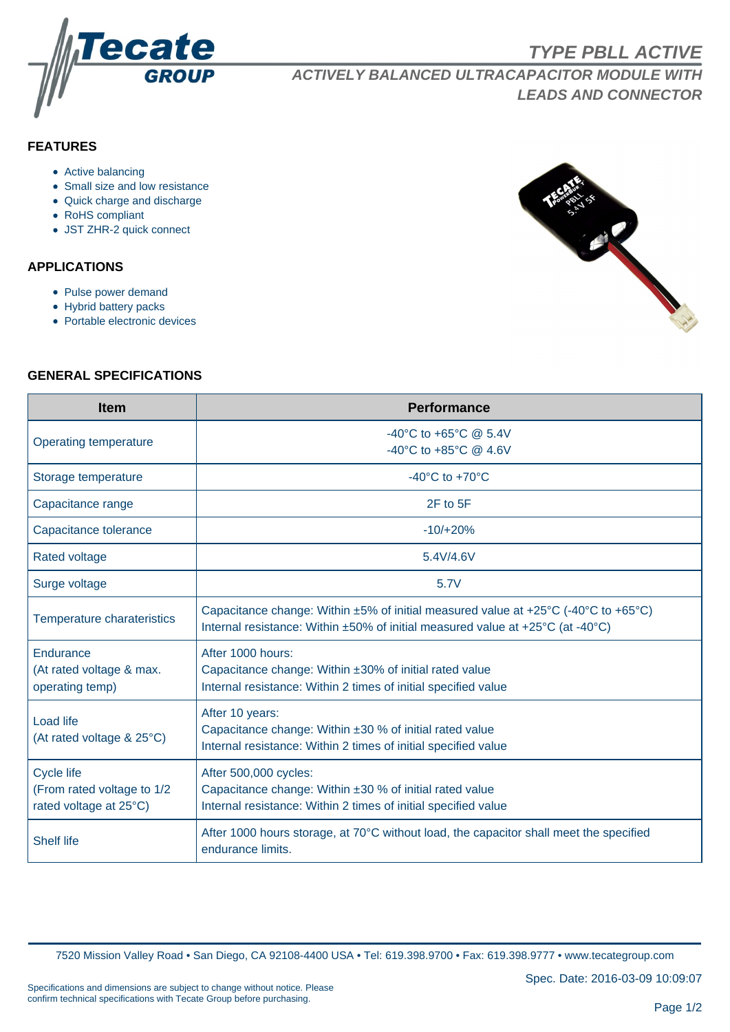

**ACTIVELY BALANCED ULTRACAPACITOR MODULE WITH LEADS AND CONNECTOR**

# **FEATURES**

- Active balancing
- Small size and low resistance
- Quick charge and discharge
- RoHS compliant
- JST ZHR-2 quick connect

## **APPLICATIONS**

- Pulse power demand
- Hybrid battery packs
- Portable electronic devices



### **GENERAL SPECIFICATIONS**

| <b>Item</b>                                                               | <b>Performance</b>                                                                                                                                                   |
|---------------------------------------------------------------------------|----------------------------------------------------------------------------------------------------------------------------------------------------------------------|
| Operating temperature                                                     | $-40^{\circ}$ C to $+65^{\circ}$ C @ 5.4V<br>-40°C to +85°C @ 4.6V                                                                                                   |
| Storage temperature                                                       | -40 $^{\circ}$ C to +70 $^{\circ}$ C                                                                                                                                 |
| Capacitance range                                                         | 2F to 5F                                                                                                                                                             |
| Capacitance tolerance                                                     | $-10/+20%$                                                                                                                                                           |
| <b>Rated voltage</b>                                                      | 5.4V/4.6V                                                                                                                                                            |
| Surge voltage                                                             | 5.7V                                                                                                                                                                 |
| Temperature charateristics                                                | Capacitance change: Within ±5% of initial measured value at +25°C (-40°C to +65°C)<br>Internal resistance: Within ±50% of initial measured value at +25°C (at -40°C) |
| Endurance<br>(At rated voltage & max.<br>operating temp)                  | After 1000 hours:<br>Capacitance change: Within ±30% of initial rated value<br>Internal resistance: Within 2 times of initial specified value                        |
| Load life<br>(At rated voltage & 25°C)                                    | After 10 years:<br>Capacitance change: Within $\pm 30$ % of initial rated value<br>Internal resistance: Within 2 times of initial specified value                    |
| <b>Cycle life</b><br>(From rated voltage to 1/2<br>rated voltage at 25°C) | After 500,000 cycles:<br>Capacitance change: Within ±30 % of initial rated value<br>Internal resistance: Within 2 times of initial specified value                   |
| <b>Shelf life</b>                                                         | After 1000 hours storage, at $70^{\circ}$ C without load, the capacitor shall meet the specified<br>endurance limits.                                                |

7520 Mission Valley Road • San Diego, CA 92108-4400 USA • Tel: 619.398.9700 • Fax: 619.398.9777 • www.tecategroup.com